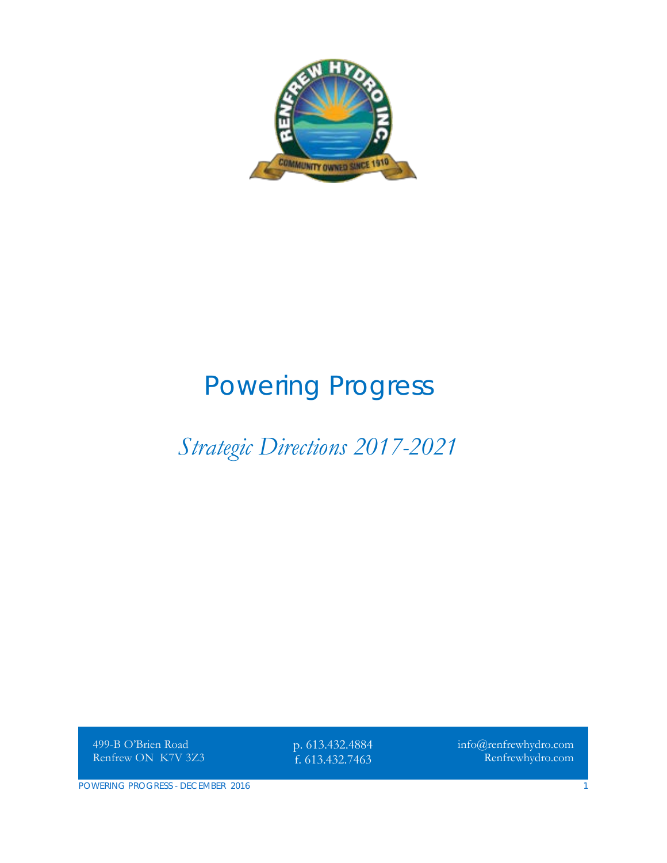

# *Powering Progress*

## *Strategic Directions 2017-2021*

499-B O'Brien Road Renfrew ON K7V 3Z3

p. 613.432.4884 f. 613.432.7463

info@renfrewhydro.com Renfrewhydro.com

POWERING PROGRESS - DECEMBER 2016 1 2008 1 2009 1 2009 1 2009 1 2009 1 2009 1 2009 1 2009 1 2009 1 2009 1 2009 1 2009 1 2009 1 2009 1 2009 1 2009 1 2009 1 2009 1 2009 1 2009 1 2009 1 2009 1 2009 1 2009 1 2009 1 2009 1 2009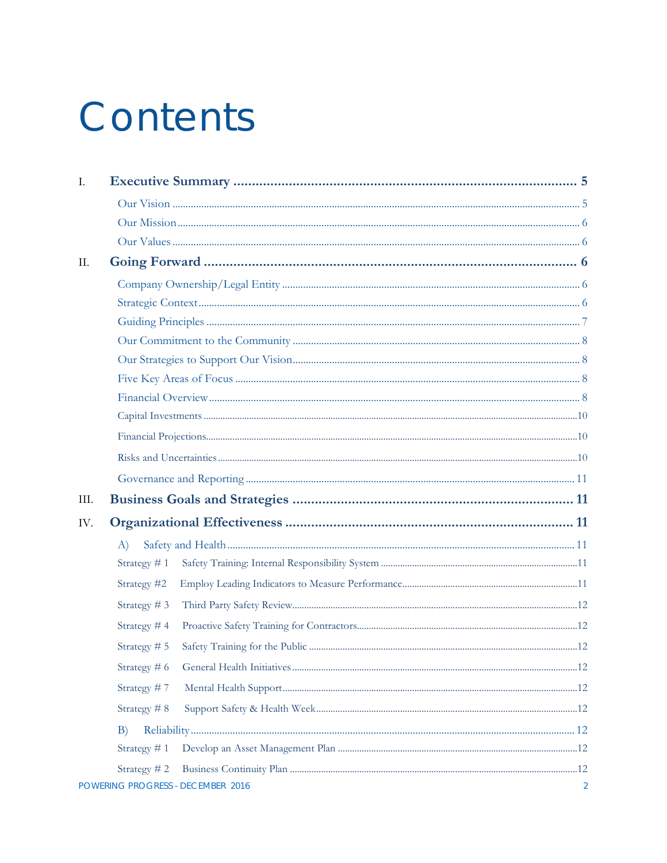# Contents

| I.   |                |                                   |   |  |  |
|------|----------------|-----------------------------------|---|--|--|
|      |                |                                   |   |  |  |
|      |                |                                   |   |  |  |
|      |                |                                   |   |  |  |
| Π.   |                |                                   |   |  |  |
|      |                |                                   |   |  |  |
|      |                |                                   |   |  |  |
|      |                |                                   |   |  |  |
|      |                |                                   |   |  |  |
|      |                |                                   |   |  |  |
|      |                |                                   |   |  |  |
|      |                |                                   |   |  |  |
|      |                |                                   |   |  |  |
|      |                |                                   |   |  |  |
|      |                |                                   |   |  |  |
|      |                |                                   |   |  |  |
| III. |                |                                   |   |  |  |
| IV.  |                |                                   |   |  |  |
|      | A)             |                                   |   |  |  |
|      | Strategy $# 1$ |                                   |   |  |  |
|      | Strategy #2    |                                   |   |  |  |
|      | Strategy #3    |                                   |   |  |  |
|      | Strategy #4    |                                   |   |  |  |
|      | Strategy # 5   |                                   |   |  |  |
|      | Strategy # 6   |                                   |   |  |  |
|      | Strategy #7    |                                   |   |  |  |
|      | Strategy #8    |                                   |   |  |  |
|      | B)             |                                   |   |  |  |
|      | Strategy #1    |                                   |   |  |  |
|      | Strategy #2    |                                   |   |  |  |
|      |                | POWERING PROGRESS - DECEMBER 2016 | 2 |  |  |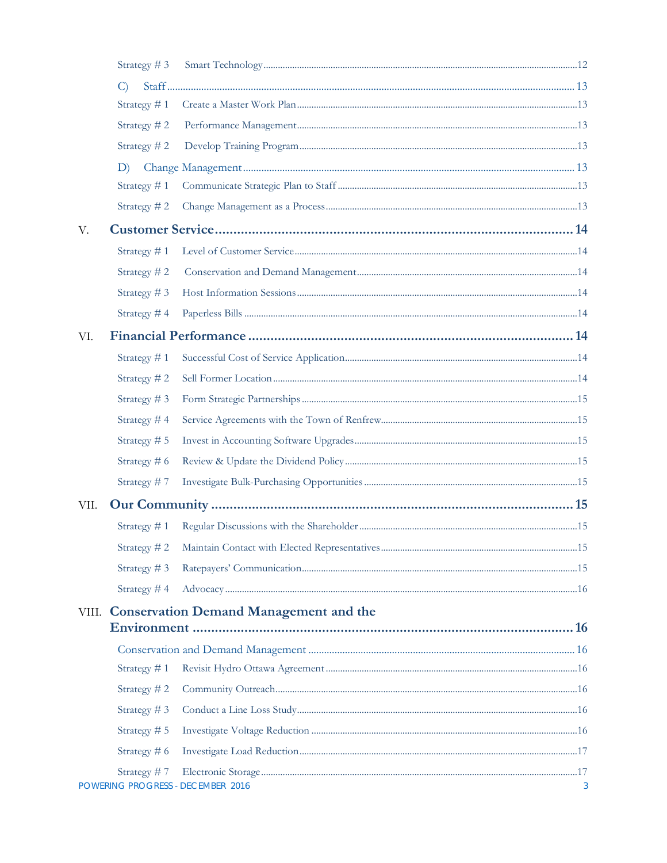|       | Strategy #3    |                                               |   |
|-------|----------------|-----------------------------------------------|---|
|       | $\mathcal{C}$  |                                               |   |
|       | Strategy #1    |                                               |   |
|       | Strategy #2    |                                               |   |
|       | Strategy #2    |                                               |   |
|       | D)             |                                               |   |
|       | Strategy $# 1$ |                                               |   |
|       | Strategy $# 2$ |                                               |   |
| V.    |                |                                               |   |
|       | Strategy #1    |                                               |   |
|       | Strategy #2    |                                               |   |
|       | Strategy #3    |                                               |   |
|       | Strategy #4    |                                               |   |
| VI.   |                |                                               |   |
|       | Strategy #1    |                                               |   |
|       | Strategy #2    |                                               |   |
|       | Strategy #3    |                                               |   |
|       | Strategy #4    |                                               |   |
|       | Strategy # 5   |                                               |   |
|       | Strategy # 6   |                                               |   |
|       | Strategy #7    |                                               |   |
| VII.  |                |                                               |   |
|       | Strategy #1    |                                               |   |
|       |                |                                               |   |
|       | Strategy $# 3$ |                                               |   |
|       | Strategy $#4$  |                                               |   |
| VIII. |                | <b>Conservation Demand Management and the</b> |   |
|       |                |                                               |   |
|       |                |                                               |   |
|       | Strategy #1    |                                               |   |
|       | Strategy #2    |                                               |   |
|       | Strategy #3    |                                               |   |
|       | Strategy # 5   |                                               |   |
|       | Strategy $# 6$ |                                               |   |
|       | Strategy $# 7$ | POWERING PROGRESS - DECEMBER 2016             | 3 |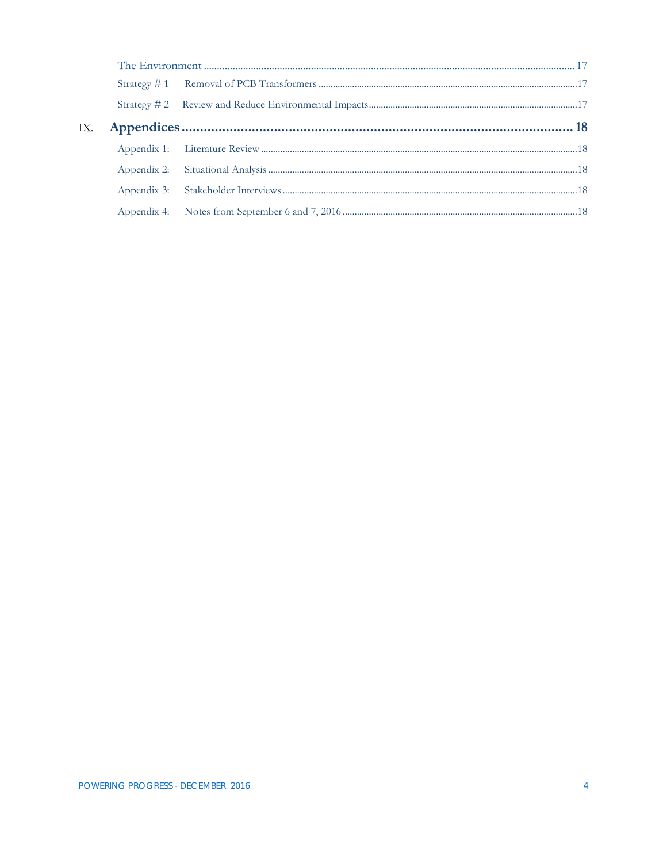| IX. |  |  |
|-----|--|--|
|     |  |  |
|     |  |  |
|     |  |  |
|     |  |  |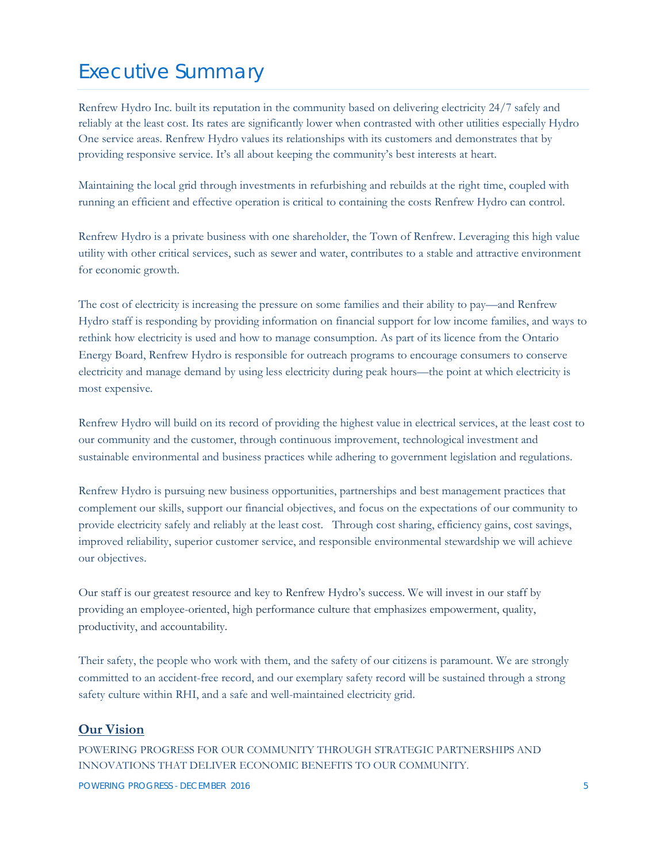## <span id="page-4-0"></span>Executive Summary

Renfrew Hydro Inc. built its reputation in the community based on delivering electricity 24/7 safely and reliably at the least cost. Its rates are significantly lower when contrasted with other utilities especially Hydro One service areas. Renfrew Hydro values its relationships with its customers and demonstrates that by providing responsive service. It's all about keeping the community's best interests at heart.

Maintaining the local grid through investments in refurbishing and rebuilds at the right time, coupled with running an efficient and effective operation is critical to containing the costs Renfrew Hydro can control.

Renfrew Hydro is a private business with one shareholder, the Town of Renfrew. Leveraging this high value utility with other critical services, such as sewer and water, contributes to a stable and attractive environment for economic growth.

The cost of electricity is increasing the pressure on some families and their ability to pay—and Renfrew Hydro staff is responding by providing information on financial support for low income families, and ways to rethink how electricity is used and how to manage consumption. As part of its licence from the Ontario Energy Board, Renfrew Hydro is responsible for outreach programs to encourage consumers to conserve electricity and manage demand by using less electricity during peak hours—the point at which electricity is most expensive.

Renfrew Hydro will build on its record of providing the highest value in electrical services, at the least cost to our community and the customer, through continuous improvement, technological investment and sustainable environmental and business practices while adhering to government legislation and regulations.

Renfrew Hydro is pursuing new business opportunities, partnerships and best management practices that complement our skills, support our financial objectives, and focus on the expectations of our community to provide electricity safely and reliably at the least cost. Through cost sharing, efficiency gains, cost savings, improved reliability, superior customer service, and responsible environmental stewardship we will achieve our objectives.

Our staff is our greatest resource and key to Renfrew Hydro's success. We will invest in our staff by providing an employee-oriented, high performance culture that emphasizes empowerment, quality, productivity, and accountability.

Their safety, the people who work with them, and the safety of our citizens is paramount. We are strongly committed to an accident-free record, and our exemplary safety record will be sustained through a strong safety culture within RHI, and a safe and well-maintained electricity grid.

#### <span id="page-4-1"></span>**Our Vision**

POWERING PROGRESS FOR OUR COMMUNITY THROUGH STRATEGIC PARTNERSHIPS AND INNOVATIONS THAT DELIVER ECONOMIC BENEFITS TO OUR COMMUNITY.

POWERING PROGRESS - DECEMBER 2016 **5** Second 1 and 2016 **5** Second 1 and 2016 **5** Second 1 and 2017 **5** Second 1 and 2017 **5** Second 1 and 2017 **5** Second 1 and 2017 **5** Second 1 and 2017 **5** Second 1 and 2017 **6** Second 1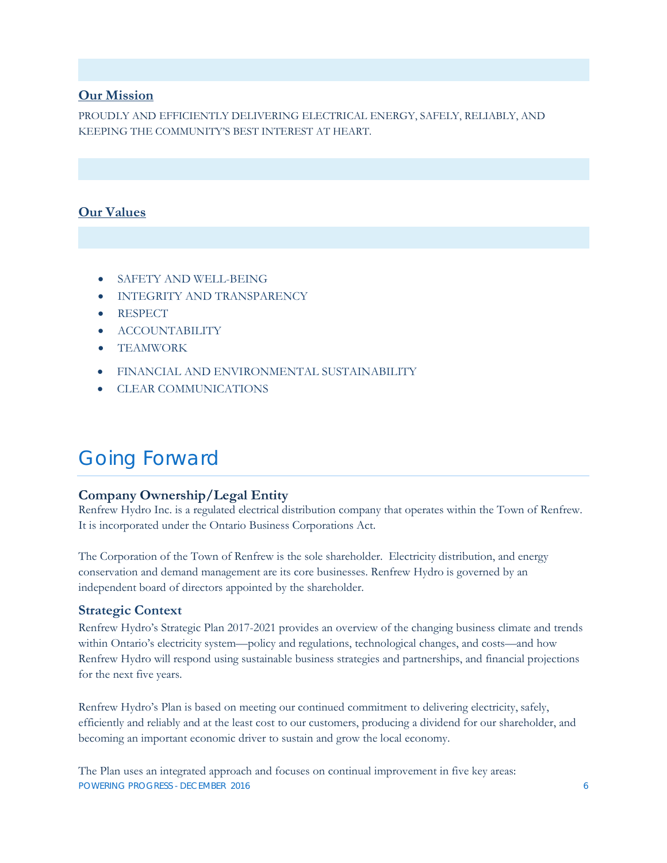#### <span id="page-5-0"></span>**Our Mission**

PROUDLY AND EFFICIENTLY DELIVERING ELECTRICAL ENERGY, SAFELY, RELIABLY, AND KEEPING THE COMMUNITY'S BEST INTEREST AT HEART.

#### <span id="page-5-1"></span>**Our Values**

- SAFETY AND WELL-BEING
- INTEGRITY AND TRANSPARENCY
- RESPECT
- ACCOUNTABILITY
- TEAMWORK
- FINANCIAL AND ENVIRONMENTAL SUSTAINABILITY
- CLEAR COMMUNICATIONS

## <span id="page-5-2"></span>Going Forward

#### <span id="page-5-3"></span>**Company Ownership/Legal Entity**

Renfrew Hydro Inc. is a regulated electrical distribution company that operates within the Town of Renfrew. It is incorporated under the Ontario Business Corporations Act.

The Corporation of the Town of Renfrew is the sole shareholder. Electricity distribution, and energy conservation and demand management are its core businesses. Renfrew Hydro is governed by an independent board of directors appointed by the shareholder.

#### <span id="page-5-4"></span>**Strategic Context**

Renfrew Hydro's Strategic Plan 2017-2021 provides an overview of the changing business climate and trends within Ontario's electricity system—policy and regulations, technological changes, and costs—and how Renfrew Hydro will respond using sustainable business strategies and partnerships, and financial projections for the next five years.

Renfrew Hydro's Plan is based on meeting our continued commitment to delivering electricity, safely, efficiently and reliably and at the least cost to our customers, producing a dividend for our shareholder, and becoming an important economic driver to sustain and grow the local economy.

POWERING PROGRESS - DECEMBER 2016 6 The Plan uses an integrated approach and focuses on continual improvement in five key areas: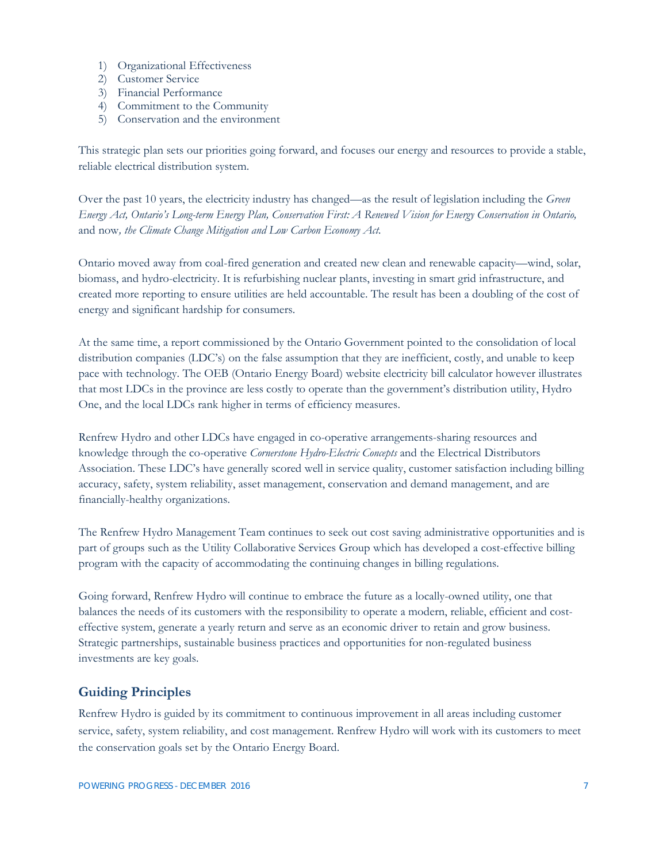- 1) Organizational Effectiveness
- 2) Customer Service
- 3) Financial Performance
- 4) Commitment to the Community
- 5) Conservation and the environment

This strategic plan sets our priorities going forward, and focuses our energy and resources to provide a stable, reliable electrical distribution system.

Over the past 10 years, the electricity industry has changed—as the result of legislation including the *Green Energy Act, Ontario's Long-term Energy Plan, Conservation First: A Renewed Vision for Energy Conservation in Ontario,*  and now*, the Climate Change Mitigation and Low Carbon Economy Act.* 

Ontario moved away from coal-fired generation and created new clean and renewable capacity—wind, solar, biomass, and hydro-electricity. It is refurbishing nuclear plants, investing in smart grid infrastructure, and created more reporting to ensure utilities are held accountable. The result has been a doubling of the cost of energy and significant hardship for consumers.

At the same time, a report commissioned by the Ontario Government pointed to the consolidation of local distribution companies (LDC's) on the false assumption that they are inefficient, costly, and unable to keep pace with technology. The OEB (Ontario Energy Board) website electricity bill calculator however illustrates that most LDCs in the province are less costly to operate than the government's distribution utility, Hydro One, and the local LDCs rank higher in terms of efficiency measures.

Renfrew Hydro and other LDCs have engaged in co-operative arrangements-sharing resources and knowledge through the co-operative *Cornerstone Hydro-Electric Concepts* and the Electrical Distributors Association. These LDC's have generally scored well in service quality, customer satisfaction including billing accuracy, safety, system reliability, asset management, conservation and demand management, and are financially-healthy organizations.

The Renfrew Hydro Management Team continues to seek out cost saving administrative opportunities and is part of groups such as the Utility Collaborative Services Group which has developed a cost-effective billing program with the capacity of accommodating the continuing changes in billing regulations.

Going forward, Renfrew Hydro will continue to embrace the future as a locally-owned utility, one that balances the needs of its customers with the responsibility to operate a modern, reliable, efficient and costeffective system, generate a yearly return and serve as an economic driver to retain and grow business. Strategic partnerships, sustainable business practices and opportunities for non-regulated business investments are key goals.

#### <span id="page-6-0"></span>**Guiding Principles**

Renfrew Hydro is guided by its commitment to continuous improvement in all areas including customer service, safety, system reliability, and cost management. Renfrew Hydro will work with its customers to meet the conservation goals set by the Ontario Energy Board.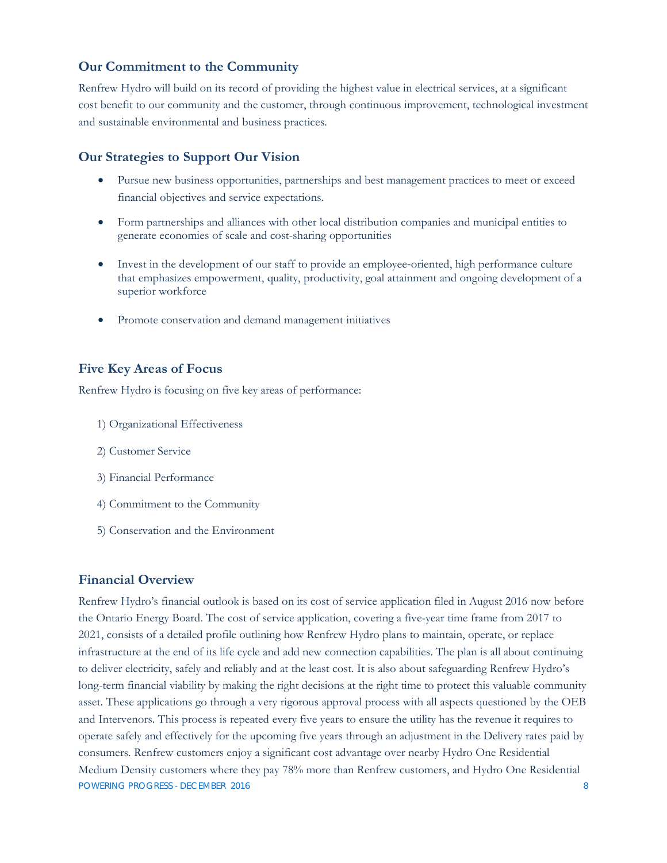#### <span id="page-7-0"></span>**Our Commitment to the Community**

Renfrew Hydro will build on its record of providing the highest value in electrical services, at a significant cost benefit to our community and the customer, through continuous improvement, technological investment and sustainable environmental and business practices.

#### <span id="page-7-1"></span>**Our Strategies to Support Our Vision**

- Pursue new business opportunities, partnerships and best management practices to meet or exceed financial objectives and service expectations.
- Form partnerships and alliances with other local distribution companies and municipal entities to generate economies of scale and cost-sharing opportunities
- Invest in the development of our staff to provide an employee-oriented, high performance culture that emphasizes empowerment, quality, productivity, goal attainment and ongoing development of a superior workforce
- Promote conservation and demand management initiatives

#### <span id="page-7-2"></span>**Five Key Areas of Focus**

Renfrew Hydro is focusing on five key areas of performance:

- 1) Organizational Effectiveness
- 2) Customer Service
- 3) Financial Performance
- 4) Commitment to the Community
- 5) Conservation and the Environment

#### <span id="page-7-3"></span>**Financial Overview**

POWERING PROGRESS - DECEMBER 2016 8 Renfrew Hydro's financial outlook is based on its cost of service application filed in August 2016 now before the Ontario Energy Board. The cost of service application, covering a five-year time frame from 2017 to 2021, consists of a detailed profile outlining how Renfrew Hydro plans to maintain, operate, or replace infrastructure at the end of its life cycle and add new connection capabilities. The plan is all about continuing to deliver electricity, safely and reliably and at the least cost. It is also about safeguarding Renfrew Hydro's long-term financial viability by making the right decisions at the right time to protect this valuable community asset. These applications go through a very rigorous approval process with all aspects questioned by the OEB and Intervenors. This process is repeated every five years to ensure the utility has the revenue it requires to operate safely and effectively for the upcoming five years through an adjustment in the Delivery rates paid by consumers. Renfrew customers enjoy a significant cost advantage over nearby Hydro One Residential Medium Density customers where they pay 78% more than Renfrew customers, and Hydro One Residential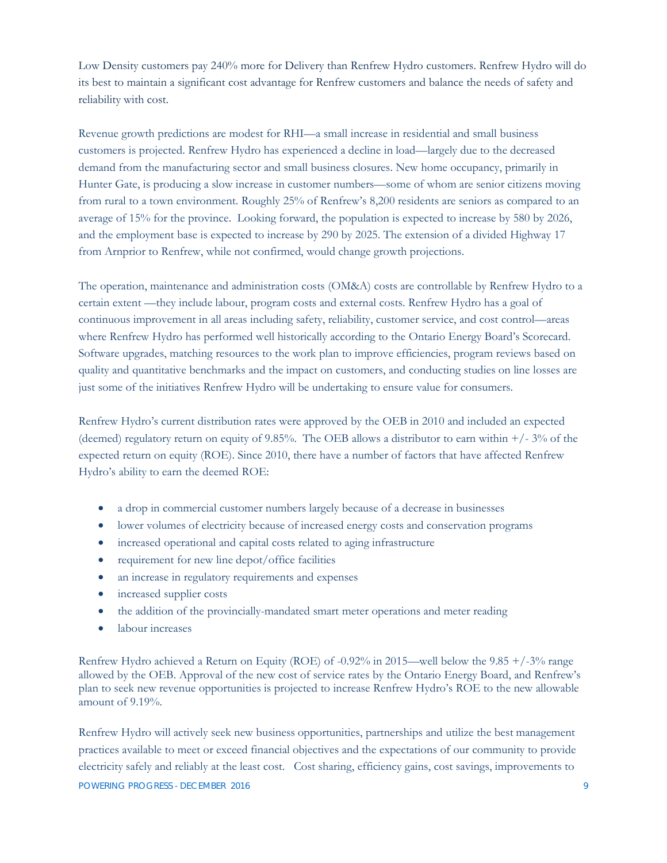Low Density customers pay 240% more for Delivery than Renfrew Hydro customers. Renfrew Hydro will do its best to maintain a significant cost advantage for Renfrew customers and balance the needs of safety and reliability with cost.

Revenue growth predictions are modest for RHI—a small increase in residential and small business customers is projected. Renfrew Hydro has experienced a decline in load—largely due to the decreased demand from the manufacturing sector and small business closures. New home occupancy, primarily in Hunter Gate, is producing a slow increase in customer numbers—some of whom are senior citizens moving from rural to a town environment. Roughly 25% of Renfrew's 8,200 residents are seniors as compared to an average of 15% for the province. Looking forward, the population is expected to increase by 580 by 2026, and the employment base is expected to increase by 290 by 2025. The extension of a divided Highway 17 from Arnprior to Renfrew, while not confirmed, would change growth projections.

The operation, maintenance and administration costs (OM&A) costs are controllable by Renfrew Hydro to a certain extent —they include labour, program costs and external costs. Renfrew Hydro has a goal of continuous improvement in all areas including safety, reliability, customer service, and cost control—areas where Renfrew Hydro has performed well historically according to the Ontario Energy Board's Scorecard. Software upgrades, matching resources to the work plan to improve efficiencies, program reviews based on quality and quantitative benchmarks and the impact on customers, and conducting studies on line losses are just some of the initiatives Renfrew Hydro will be undertaking to ensure value for consumers.

Renfrew Hydro's current distribution rates were approved by the OEB in 2010 and included an expected (deemed) regulatory return on equity of 9.85%. The OEB allows a distributor to earn within  $+/- 3\%$  of the expected return on equity (ROE). Since 2010, there have a number of factors that have affected Renfrew Hydro's ability to earn the deemed ROE:

- a drop in commercial customer numbers largely because of a decrease in businesses
- lower volumes of electricity because of increased energy costs and conservation programs
- increased operational and capital costs related to aging infrastructure
- requirement for new line depot/office facilities
- an increase in regulatory requirements and expenses
- increased supplier costs
- the addition of the provincially-mandated smart meter operations and meter reading
- labour increases

Renfrew Hydro achieved a Return on Equity (ROE) of -0.92% in 2015—well below the 9.85 +/-3% range allowed by the OEB. Approval of the new cost of service rates by the Ontario Energy Board, and Renfrew's plan to seek new revenue opportunities is projected to increase Renfrew Hydro's ROE to the new allowable amount of 9.19%.

Renfrew Hydro will actively seek new business opportunities, partnerships and utilize the best management practices available to meet or exceed financial objectives and the expectations of our community to provide electricity safely and reliably at the least cost. Cost sharing, efficiency gains, cost savings, improvements to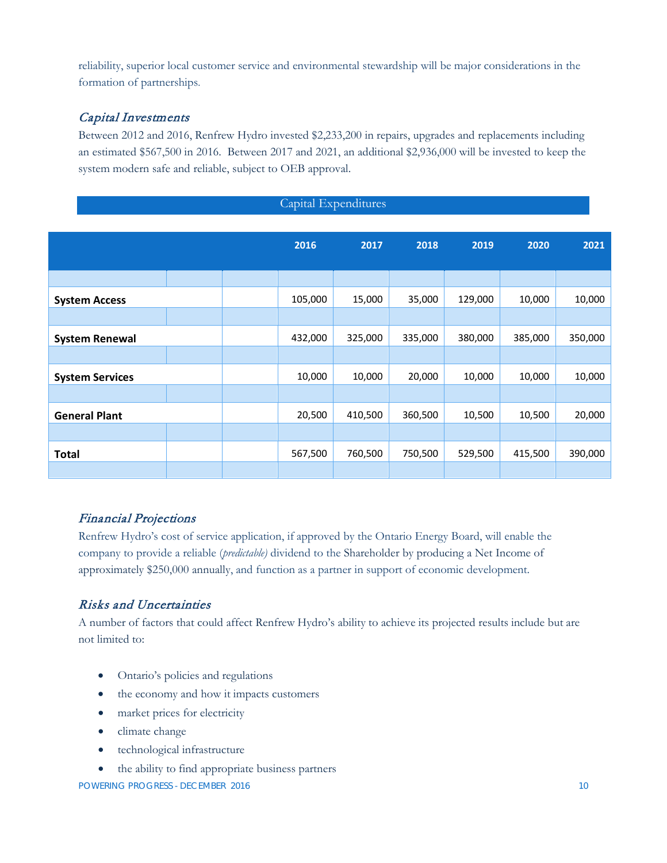reliability, superior local customer service and environmental stewardship will be major considerations in the formation of partnerships.

#### <span id="page-9-0"></span>Capital Investments

Between 2012 and 2016, Renfrew Hydro invested \$2,233,200 in repairs, upgrades and replacements including an estimated \$567,500 in 2016. Between 2017 and 2021, an additional \$2,936,000 will be invested to keep the system modern safe and reliable, subject to OEB approval.

Capital Expenditures

| $C_{\mu\nu}$           |  |  |         |         |         |         |         |         |
|------------------------|--|--|---------|---------|---------|---------|---------|---------|
|                        |  |  |         |         |         |         |         |         |
|                        |  |  | 2016    | 2017    | 2018    | 2019    | 2020    | 2021    |
|                        |  |  |         |         |         |         |         |         |
|                        |  |  |         |         |         |         |         |         |
| <b>System Access</b>   |  |  | 105,000 | 15,000  | 35,000  | 129,000 | 10,000  | 10,000  |
|                        |  |  |         |         |         |         |         |         |
| <b>System Renewal</b>  |  |  | 432,000 | 325,000 | 335,000 | 380,000 | 385,000 | 350,000 |
|                        |  |  |         |         |         |         |         |         |
| <b>System Services</b> |  |  | 10,000  | 10,000  | 20,000  | 10,000  | 10,000  | 10,000  |
|                        |  |  |         |         |         |         |         |         |
| <b>General Plant</b>   |  |  | 20,500  | 410,500 | 360,500 | 10,500  | 10,500  | 20,000  |
|                        |  |  |         |         |         |         |         |         |
| <b>Total</b>           |  |  | 567,500 | 760,500 | 750,500 | 529,500 | 415,500 | 390,000 |
|                        |  |  |         |         |         |         |         |         |

#### <span id="page-9-1"></span>Financial Projections

Renfrew Hydro's cost of service application, if approved by the Ontario Energy Board, will enable the company to provide a reliable (*predictable)* dividend to the Shareholder by producing a Net Income of approximately \$250,000 annually, and function as a partner in support of economic development.

#### <span id="page-9-2"></span>Risks and Uncertainties

A number of factors that could affect Renfrew Hydro's ability to achieve its projected results include but are not limited to:

- Ontario's policies and regulations
- the economy and how it impacts customers
- market prices for electricity
- climate change
- technological infrastructure
- the ability to find appropriate business partners

POWERING PROGRESS - DECEMBER 2016 10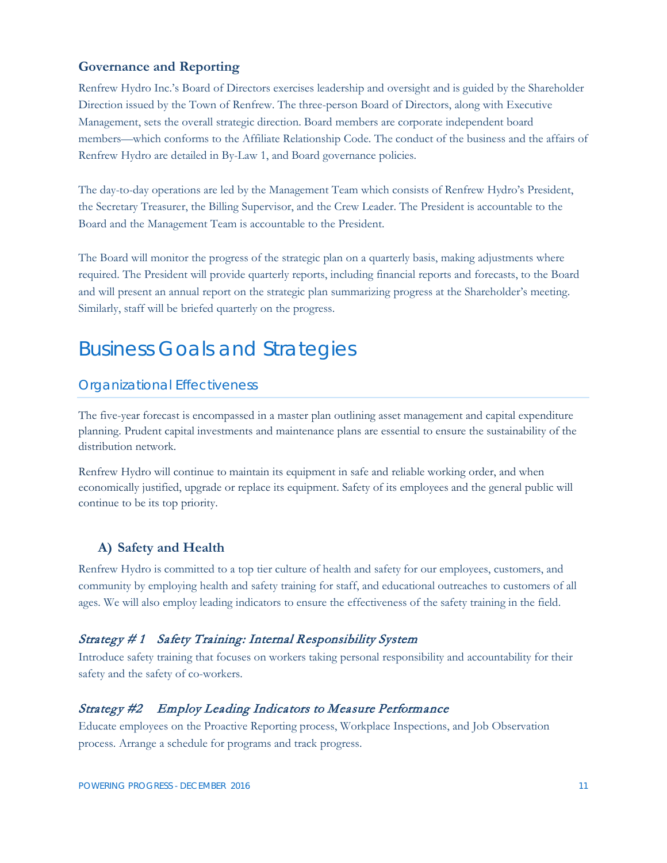#### <span id="page-10-0"></span>**Governance and Reporting**

Renfrew Hydro Inc.'s Board of Directors exercises leadership and oversight and is guided by the Shareholder Direction issued by the Town of Renfrew. The three-person Board of Directors, along with Executive Management, sets the overall strategic direction. Board members are corporate independent board members—which conforms to the Affiliate Relationship Code. The conduct of the business and the affairs of Renfrew Hydro are detailed in By-Law 1, and Board governance policies.

The day-to-day operations are led by the Management Team which consists of Renfrew Hydro's President, the Secretary Treasurer, the Billing Supervisor, and the Crew Leader. The President is accountable to the Board and the Management Team is accountable to the President.

The Board will monitor the progress of the strategic plan on a quarterly basis, making adjustments where required. The President will provide quarterly reports, including financial reports and forecasts, to the Board and will present an annual report on the strategic plan summarizing progress at the Shareholder's meeting. Similarly, staff will be briefed quarterly on the progress.

### <span id="page-10-1"></span>Business Goals and Strategies

#### <span id="page-10-2"></span>Organizational Effectiveness

The five-year forecast is encompassed in a master plan outlining asset management and capital expenditure planning. Prudent capital investments and maintenance plans are essential to ensure the sustainability of the distribution network.

Renfrew Hydro will continue to maintain its equipment in safe and reliable working order, and when economically justified, upgrade or replace its equipment. Safety of its employees and the general public will continue to be its top priority.

#### <span id="page-10-3"></span>**A) Safety and Health**

Renfrew Hydro is committed to a top tier culture of health and safety for our employees, customers, and community by employing health and safety training for staff, and educational outreaches to customers of all ages. We will also employ leading indicators to ensure the effectiveness of the safety training in the field.

#### <span id="page-10-4"></span>Strategy # 1 Safety Training: Internal Responsibility System

Introduce safety training that focuses on workers taking personal responsibility and accountability for their safety and the safety of co-workers.

#### <span id="page-10-5"></span>Strategy #2 Employ Leading Indicators to Measure Performance

Educate employees on the Proactive Reporting process, Workplace Inspections, and Job Observation process. Arrange a schedule for programs and track progress.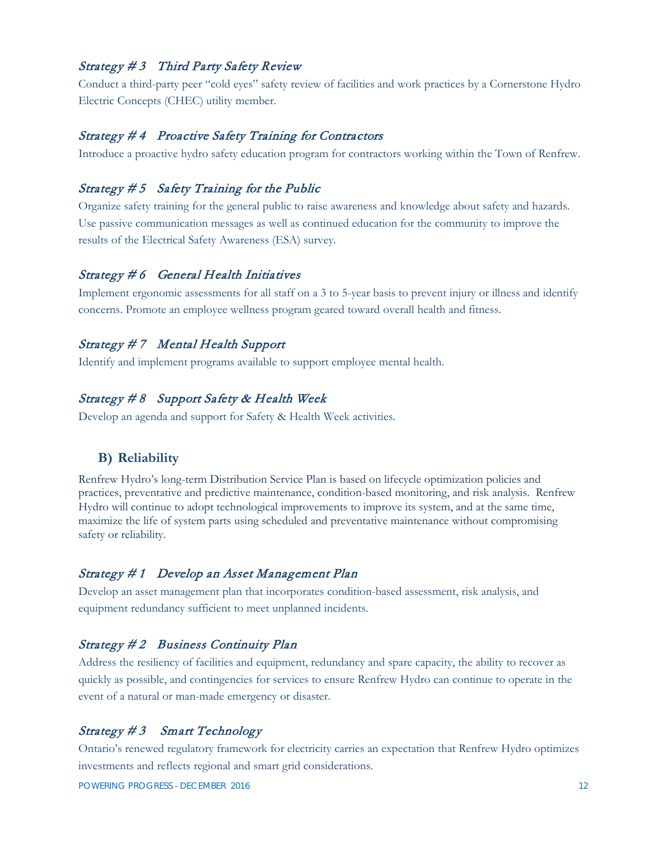#### <span id="page-11-0"></span>Strategy #3 Third Party Safety Review

Conduct a third-party peer "cold eyes" safety review of facilities and work practices by a Cornerstone Hydro Electric Concepts (CHEC) utility member.

#### <span id="page-11-1"></span>Strategy # 4 Proactive Safety Training for Contractors

Introduce a proactive hydro safety education program for contractors working within the Town of Renfrew.

#### <span id="page-11-2"></span>Strategy # 5 Safety Training for the Public

Organize safety training for the general public to raise awareness and knowledge about safety and hazards. Use passive communication messages as well as continued education for the community to improve the results of the Electrical Safety Awareness (ESA) survey.

#### <span id="page-11-3"></span>Strategy # 6 General Health Initiatives

Implement ergonomic assessments for all staff on a 3 to 5-year basis to prevent injury or illness and identify concerns. Promote an employee wellness program geared toward overall health and fitness.

#### <span id="page-11-4"></span>Strategy # 7 Mental Health Support

Identify and implement programs available to support employee mental health.

#### <span id="page-11-5"></span>Strategy # 8 Support Safety & Health Week

Develop an agenda and support for Safety & Health Week activities.

#### <span id="page-11-6"></span>**B) Reliability**

Renfrew Hydro's long-term Distribution Service Plan is based on lifecycle optimization policies and practices, preventative and predictive maintenance, condition-based monitoring, and risk analysis. Renfrew Hydro will continue to adopt technological improvements to improve its system, and at the same time, maximize the life of system parts using scheduled and preventative maintenance without compromising safety or reliability.

#### <span id="page-11-7"></span>Strategy # 1 Develop an Asset Management Plan

Develop an asset management plan that incorporates condition-based assessment, risk analysis, and equipment redundancy sufficient to meet unplanned incidents.

#### <span id="page-11-8"></span>Strategy #2 Business Continuity Plan

Address the resiliency of facilities and equipment, redundancy and spare capacity, the ability to recover as quickly as possible, and contingencies for services to ensure Renfrew Hydro can continue to operate in the event of a natural or man-made emergency or disaster.

#### <span id="page-11-9"></span>Strategy # 3 Smart Technology

Ontario's renewed regulatory framework for electricity carries an expectation that Renfrew Hydro optimizes investments and reflects regional and smart grid considerations.

POWERING PROGRESS - DECEMBER 2016 12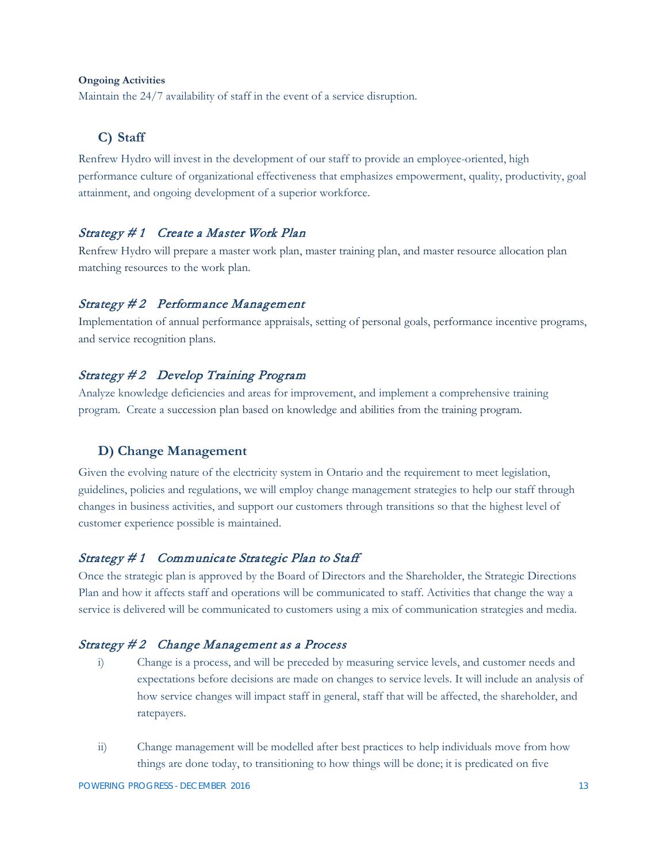#### **Ongoing Activities**

Maintain the 24/7 availability of staff in the event of a service disruption.

#### <span id="page-12-0"></span>**C) Staff**

Renfrew Hydro will invest in the development of our staff to provide an employee-oriented, high performance culture of organizational effectiveness that emphasizes empowerment, quality, productivity, goal attainment, and ongoing development of a superior workforce.

#### <span id="page-12-1"></span>Strategy # 1 Create a Master Work Plan

Renfrew Hydro will prepare a master work plan, master training plan, and master resource allocation plan matching resources to the work plan.

#### <span id="page-12-2"></span>Strategy #2 Performance Management

Implementation of annual performance appraisals, setting of personal goals, performance incentive programs, and service recognition plans.

#### <span id="page-12-3"></span>Strategy # 2 Develop Training Program

Analyze knowledge deficiencies and areas for improvement, and implement a comprehensive training program. Create a succession plan based on knowledge and abilities from the training program.

#### <span id="page-12-4"></span>**D) Change Management**

Given the evolving nature of the electricity system in Ontario and the requirement to meet legislation, guidelines, policies and regulations, we will employ change management strategies to help our staff through changes in business activities, and support our customers through transitions so that the highest level of customer experience possible is maintained.

#### <span id="page-12-5"></span>Strategy # 1 Communicate Strategic Plan to Staff

Once the strategic plan is approved by the Board of Directors and the Shareholder, the Strategic Directions Plan and how it affects staff and operations will be communicated to staff. Activities that change the way a service is delivered will be communicated to customers using a mix of communication strategies and media.

#### <span id="page-12-6"></span>Strategy # 2 Change Management as a Process

- i) Change is a process, and will be preceded by measuring service levels, and customer needs and expectations before decisions are made on changes to service levels. It will include an analysis of how service changes will impact staff in general, staff that will be affected, the shareholder, and ratepayers.
- ii) Change management will be modelled after best practices to help individuals move from how things are done today, to transitioning to how things will be done; it is predicated on five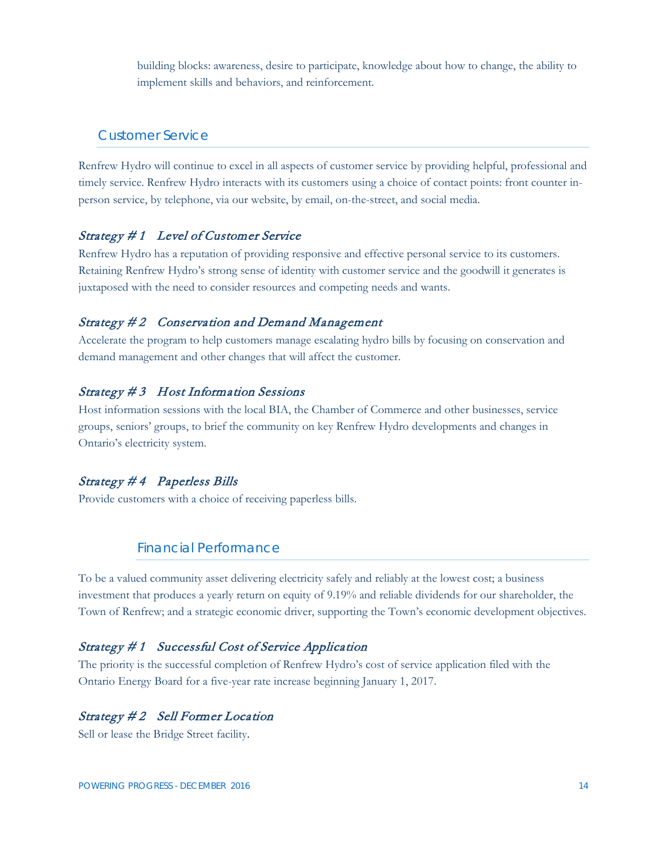building blocks: awareness, desire to participate, knowledge about how to change, the ability to implement skills and behaviors, and reinforcement.

#### <span id="page-13-0"></span>Customer Service

Renfrew Hydro will continue to excel in all aspects of customer service by providing helpful, professional and timely service. Renfrew Hydro interacts with its customers using a choice of contact points: front counter inperson service, by telephone, via our website, by email, on-the-street, and social media.

#### <span id="page-13-1"></span>Strategy # 1 Level of Customer Service

Renfrew Hydro has a reputation of providing responsive and effective personal service to its customers. Retaining Renfrew Hydro's strong sense of identity with customer service and the goodwill it generates is juxtaposed with the need to consider resources and competing needs and wants.

#### <span id="page-13-2"></span>Strategy #2 Conservation and Demand Management

Accelerate the program to help customers manage escalating hydro bills by focusing on conservation and demand management and other changes that will affect the customer.

#### <span id="page-13-3"></span>Strategy #3 Host Information Sessions

Host information sessions with the local BIA, the Chamber of Commerce and other businesses, service groups, seniors' groups, to brief the community on key Renfrew Hydro developments and changes in Ontario's electricity system.

#### <span id="page-13-4"></span>Strategy # 4 Paperless Bills

Provide customers with a choice of receiving paperless bills.

#### Financial Performance

<span id="page-13-5"></span>To be a valued community asset delivering electricity safely and reliably at the lowest cost; a business investment that produces a yearly return on equity of 9.19% and reliable dividends for our shareholder, the Town of Renfrew; and a strategic economic driver, supporting the Town's economic development objectives.

#### <span id="page-13-6"></span>Strategy # 1 Successful Cost of Service Application

The priority is the successful completion of Renfrew Hydro's cost of service application filed with the Ontario Energy Board for a five-year rate increase beginning January 1, 2017.

#### <span id="page-13-7"></span>Strategy #2 Sell Former Location

Sell or lease the Bridge Street facility.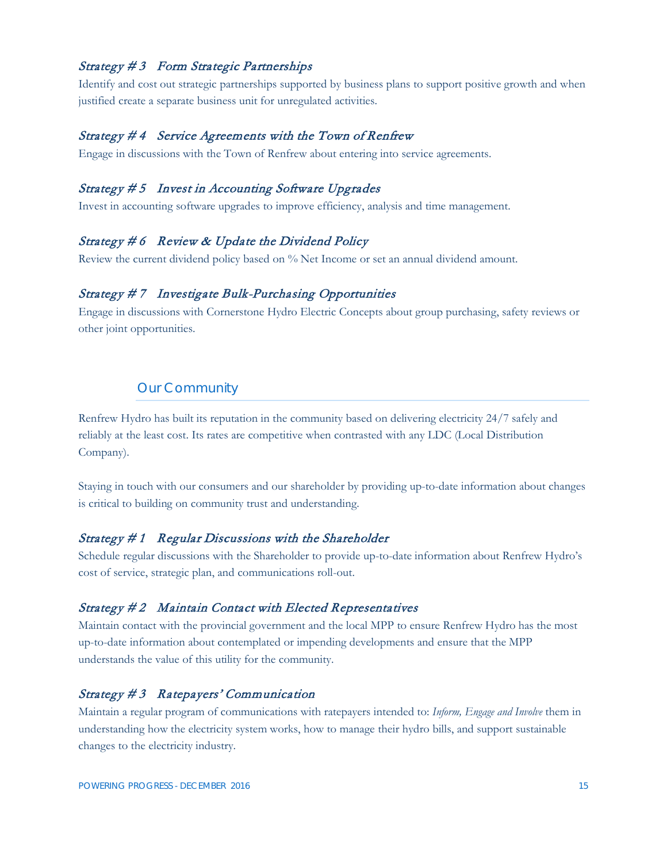#### <span id="page-14-0"></span>Strategy #3 Form Strategic Partnerships

Identify and cost out strategic partnerships supported by business plans to support positive growth and when justified create a separate business unit for unregulated activities.

#### <span id="page-14-1"></span>Strategy # 4 Service Agreements with the Town of Renfrew

Engage in discussions with the Town of Renfrew about entering into service agreements.

#### <span id="page-14-2"></span>Strategy # 5 Invest in Accounting Software Upgrades

Invest in accounting software upgrades to improve efficiency, analysis and time management.

#### <span id="page-14-3"></span>Strategy  $#6$  Review & Update the Dividend Policy

Review the current dividend policy based on % Net Income or set an annual dividend amount.

#### <span id="page-14-4"></span>Strategy # 7 Investigate Bulk-Purchasing Opportunities

Engage in discussions with Cornerstone Hydro Electric Concepts about group purchasing, safety reviews or other joint opportunities.

#### Our Community

<span id="page-14-5"></span>Renfrew Hydro has built its reputation in the community based on delivering electricity 24/7 safely and reliably at the least cost. Its rates are competitive when contrasted with any LDC (Local Distribution Company).

Staying in touch with our consumers and our shareholder by providing up-to-date information about changes is critical to building on community trust and understanding.

#### <span id="page-14-6"></span>Strategy # 1 Regular Discussions with the Shareholder

Schedule regular discussions with the Shareholder to provide up-to-date information about Renfrew Hydro's cost of service, strategic plan, and communications roll-out.

#### <span id="page-14-7"></span>Strategy #2 Maintain Contact with Elected Representatives

Maintain contact with the provincial government and the local MPP to ensure Renfrew Hydro has the most up-to-date information about contemplated or impending developments and ensure that the MPP understands the value of this utility for the community.

#### <span id="page-14-8"></span>Strategy # 3 Ratepayers' Communication

Maintain a regular program of communications with ratepayers intended to: *Inform, Engage and Involve* them in understanding how the electricity system works, how to manage their hydro bills, and support sustainable changes to the electricity industry.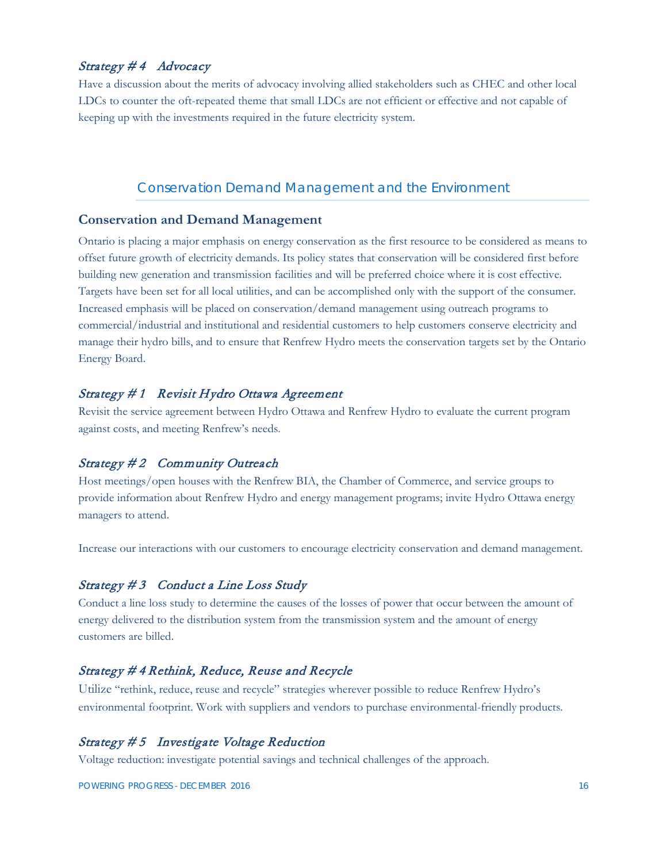#### <span id="page-15-0"></span>Strategy #4 Advocacy

Have a discussion about the merits of advocacy involving allied stakeholders such as CHEC and other local LDCs to counter the oft-repeated theme that small LDCs are not efficient or effective and not capable of keeping up with the investments required in the future electricity system.

#### Conservation Demand Management and the Environment

#### <span id="page-15-2"></span><span id="page-15-1"></span>**Conservation and Demand Management**

Ontario is placing a major emphasis on energy conservation as the first resource to be considered as means to offset future growth of electricity demands. Its policy states that conservation will be considered first before building new generation and transmission facilities and will be preferred choice where it is cost effective. Targets have been set for all local utilities, and can be accomplished only with the support of the consumer. Increased emphasis will be placed on conservation/demand management using outreach programs to commercial/industrial and institutional and residential customers to help customers conserve electricity and manage their hydro bills, and to ensure that Renfrew Hydro meets the conservation targets set by the Ontario Energy Board.

#### <span id="page-15-3"></span>Strategy # 1 Revisit Hydro Ottawa Agreement

Revisit the service agreement between Hydro Ottawa and Renfrew Hydro to evaluate the current program against costs, and meeting Renfrew's needs.

#### <span id="page-15-4"></span>Strategy #2 Community Outreach

Host meetings/open houses with the Renfrew BIA, the Chamber of Commerce, and service groups to provide information about Renfrew Hydro and energy management programs; invite Hydro Ottawa energy managers to attend.

Increase our interactions with our customers to encourage electricity conservation and demand management.

#### <span id="page-15-5"></span>Strategy #3 Conduct a Line Loss Study

Conduct a line loss study to determine the causes of the losses of power that occur between the amount of energy delivered to the distribution system from the transmission system and the amount of energy customers are billed.

#### Strategy # 4 Rethink, Reduce, Reuse and Recycle

Utilize "rethink, reduce, reuse and recycle" strategies wherever possible to reduce Renfrew Hydro's environmental footprint. Work with suppliers and vendors to purchase environmental-friendly products*.* 

#### <span id="page-15-6"></span>Strategy # 5 Investigate Voltage Reduction

Voltage reduction: investigate potential savings and technical challenges of the approach.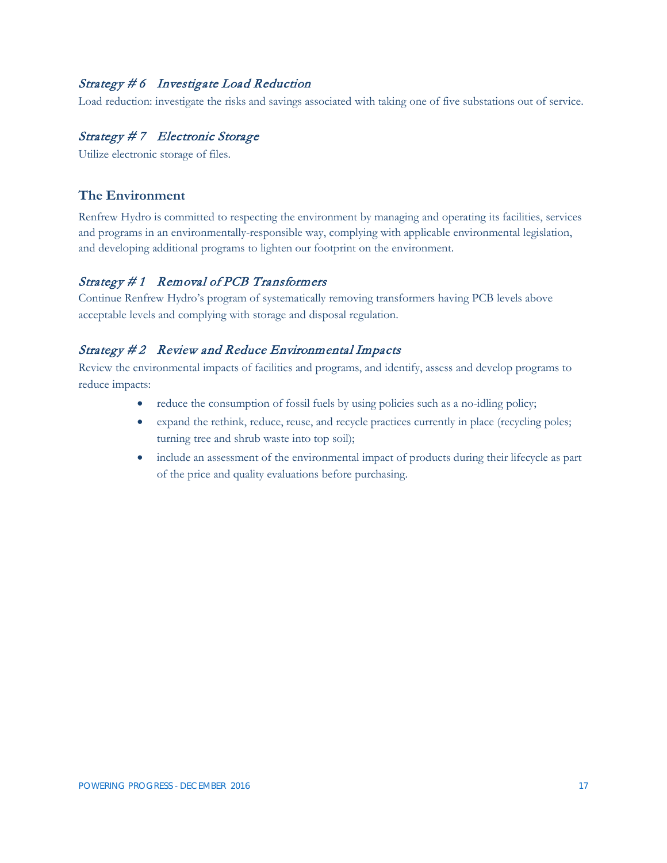#### <span id="page-16-0"></span>Strategy # 6 Investigate Load Reduction

Load reduction: investigate the risks and savings associated with taking one of five substations out of service.

#### <span id="page-16-1"></span>Strategy # 7 Electronic Storage

Utilize electronic storage of files.

#### <span id="page-16-2"></span>**The Environment**

Renfrew Hydro is committed to respecting the environment by managing and operating its facilities, services and programs in an environmentally-responsible way, complying with applicable environmental legislation, and developing additional programs to lighten our footprint on the environment.

#### <span id="page-16-3"></span>Strategy # 1 Removal of PCB Transformers

Continue Renfrew Hydro's program of systematically removing transformers having PCB levels above acceptable levels and complying with storage and disposal regulation.

#### <span id="page-16-4"></span>Strategy #2 Review and Reduce Environmental Impacts

Review the environmental impacts of facilities and programs, and identify, assess and develop programs to reduce impacts:

- reduce the consumption of fossil fuels by using policies such as a no-idling policy;
- expand the rethink, reduce, reuse, and recycle practices currently in place (recycling poles; turning tree and shrub waste into top soil);
- include an assessment of the environmental impact of products during their lifecycle as part of the price and quality evaluations before purchasing.